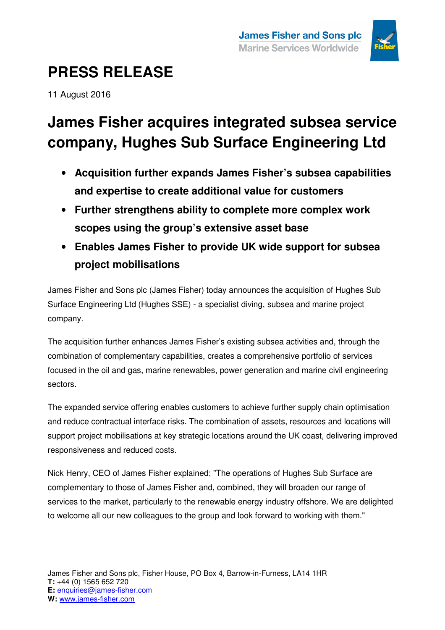

## **PRESS RELEASE**

11 August 2016

### **James Fisher acquires integrated subsea service company, Hughes Sub Surface Engineering Ltd**

- **Acquisition further expands James Fisher's subsea capabilities and expertise to create additional value for customers**
- **Further strengthens ability to complete more complex work scopes using the group's extensive asset base**
- **Enables James Fisher to provide UK wide support for subsea project mobilisations**

James Fisher and Sons plc (James Fisher) today announces the acquisition of Hughes Sub Surface Engineering Ltd (Hughes SSE) - a specialist diving, subsea and marine project company.

The acquisition further enhances James Fisher's existing subsea activities and, through the combination of complementary capabilities, creates a comprehensive portfolio of services focused in the oil and gas, marine renewables, power generation and marine civil engineering sectors.

The expanded service offering enables customers to achieve further supply chain optimisation and reduce contractual interface risks. The combination of assets, resources and locations will support project mobilisations at key strategic locations around the UK coast, delivering improved responsiveness and reduced costs.

Nick Henry, CEO of James Fisher explained; "The operations of Hughes Sub Surface are complementary to those of James Fisher and, combined, they will broaden our range of services to the market, particularly to the renewable energy industry offshore. We are delighted to welcome all our new colleagues to the group and look forward to working with them."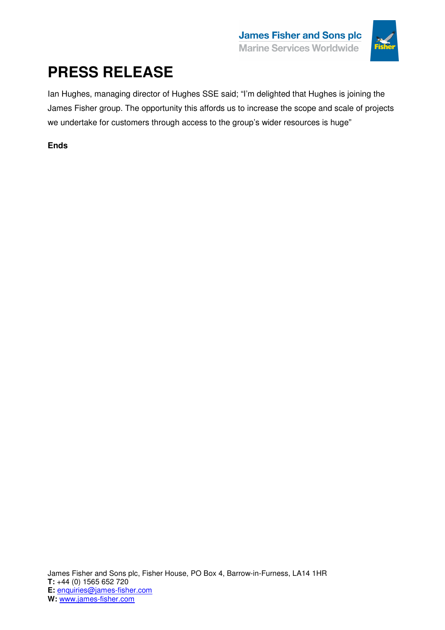

# **PRESS RELEASE**

Ian Hughes, managing director of Hughes SSE said; "I'm delighted that Hughes is joining the James Fisher group. The opportunity this affords us to increase the scope and scale of projects we undertake for customers through access to the group's wider resources is huge"

### **Ends**